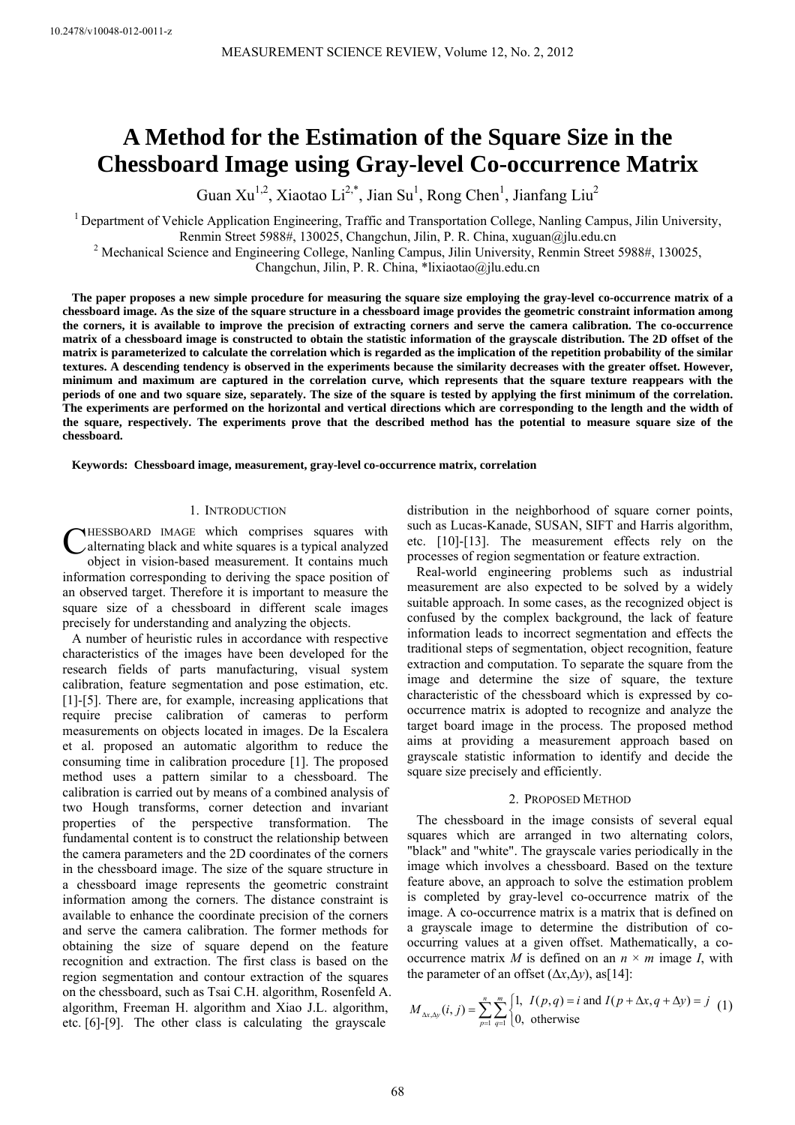# **A Method for the Estimation of the Square Size in the Chessboard Image using Gray-level Co-occurrence Matrix**

Guan Xu<sup>1,2</sup>, Xiaotao Li<sup>2,\*</sup>, Jian Su<sup>1</sup>, Rong Chen<sup>1</sup>, Jianfang Liu<sup>2</sup>

<sup>1</sup> Department of Vehicle Application Engineering, Traffic and Transportation College, Nanling Campus, Jilin University, Renmin Street 5988#, 130025, Changchun, Jilin, P. R. China, xuguan@jlu.edu.cn 2

<sup>2</sup> Mechanical Science and Engineering College, Nanling Campus, Jilin University, Renmin Street 5988#, 130025,

Changchun, Jilin, P. R. China, \*lixiaotao@jlu.edu.cn

**The paper proposes a new simple procedure for measuring the square size employing the gray-level co-occurrence matrix of a chessboard image. As the size of the square structure in a chessboard image provides the geometric constraint information among the corners, it is available to improve the precision of extracting corners and serve the camera calibration. The co-occurrence matrix of a chessboard image is constructed to obtain the statistic information of the grayscale distribution. The 2D offset of the matrix is parameterized to calculate the correlation which is regarded as the implication of the repetition probability of the similar textures. A descending tendency is observed in the experiments because the similarity decreases with the greater offset. However, minimum and maximum are captured in the correlation curve, which represents that the square texture reappears with the periods of one and two square size, separately. The size of the square is tested by applying the first minimum of the correlation. The experiments are performed on the horizontal and vertical directions which are corresponding to the length and the width of the square, respectively. The experiments prove that the described method has the potential to measure square size of the chessboard.** 

**Keywords: Chessboard image, measurement, gray-level co-occurrence matrix, correlation** 

## 1. INTRODUCTION

**CHESSBOARD IMAGE which comprises squares with**<br>
calternating black and white squares is a typical analyzed<br>
chiest in vision based measurement. It eartsing mush alternating black and white squares is a typical analyzed object in vision-based measurement. It contains much information corresponding to deriving the space position of an observed target. Therefore it is important to measure the square size of a chessboard in different scale images precisely for understanding and analyzing the objects.

A number of heuristic rules in accordance with respective characteristics of the images have been developed for the research fields of parts manufacturing, visual system calibration, feature segmentation and pose estimation, etc. [1]-[5]. There are, for example, increasing applications that require precise calibration of cameras to perform measurements on objects located in images. De la Escalera et al. proposed an automatic algorithm to reduce the consuming time in calibration procedure [1]. The proposed method uses a pattern similar to a chessboard. The calibration is carried out by means of a combined analysis of two Hough transforms, corner detection and invariant properties of the perspective transformation. The fundamental content is to construct the relationship between the camera parameters and the 2D coordinates of the corners in the chessboard image. The size of the square structure in a chessboard image represents the geometric constraint information among the corners. The distance constraint is available to enhance the coordinate precision of the corners and serve the camera calibration. The former methods for obtaining the size of square depend on the feature recognition and extraction. The first class is based on the region segmentation and contour extraction of the squares on the chessboard, such as Tsai C.H. algorithm, Rosenfeld A. algorithm, Freeman H. algorithm and Xiao J.L. algorithm, etc. [6]-[9]. The other class is calculating the grayscale

distribution in the neighborhood of square corner points, such as Lucas-Kanade, SUSAN, SIFT and Harris algorithm, etc. [10]-[13]. The measurement effects rely on the processes of region segmentation or feature extraction.

Real-world engineering problems such as industrial measurement are also expected to be solved by a widely suitable approach. In some cases, as the recognized object is confused by the complex background, the lack of feature information leads to incorrect segmentation and effects the traditional steps of segmentation, object recognition, feature extraction and computation. To separate the square from the image and determine the size of square, the texture characteristic of the chessboard which is expressed by cooccurrence matrix is adopted to recognize and analyze the target board image in the process. The proposed method aims at providing a measurement approach based on grayscale statistic information to identify and decide the square size precisely and efficiently.

# 2. PROPOSED METHOD

The chessboard in the image consists of several equal squares which are arranged in two alternating colors, "black" and "white". The grayscale varies periodically in the image which involves a chessboard. Based on the texture feature above, an approach to solve the estimation problem is completed by gray-level co-occurrence matrix of the image. A co-occurrence matrix is a matrix that is defined on a grayscale image to determine the distribution of cooccurring values at a given offset. Mathematically, a cooccurrence matrix *M* is defined on an  $n \times m$  image *I*, with the parameter of an offset  $(\Delta x, \Delta y)$ , as [14]:

$$
M_{\Delta x, \Delta y}(i, j) = \sum_{p=1}^{n} \sum_{q=1}^{m} \begin{cases} 1, & I(p, q) = i \text{ and } I(p + \Delta x, q + \Delta y) = j \\ 0, & \text{otherwise} \end{cases}
$$
 (1)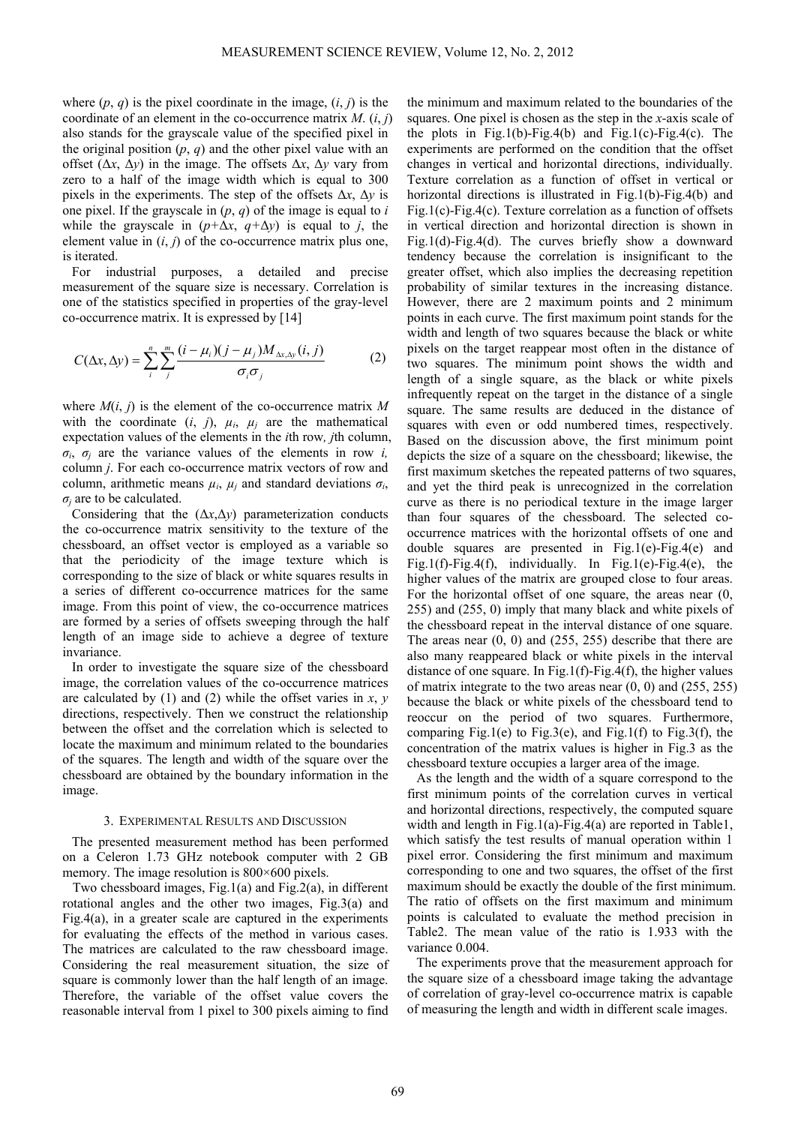where  $(p, q)$  is the pixel coordinate in the image,  $(i, j)$  is the coordinate of an element in the co-occurrence matrix *M*. (*i*, *j*) also stands for the grayscale value of the specified pixel in the original position  $(p, q)$  and the other pixel value with an offset  $(\Delta x, \Delta y)$  in the image. The offsets  $\Delta x, \Delta y$  vary from zero to a half of the image width which is equal to 300 pixels in the experiments. The step of the offsets  $\Delta x$ ,  $\Delta y$  is one pixel. If the grayscale in  $(p, q)$  of the image is equal to  $i$ while the grayscale in  $(p+\Delta x, q+\Delta y)$  is equal to *j*, the element value in  $(i, j)$  of the co-occurrence matrix plus one, is iterated.

For industrial purposes, a detailed and precise measurement of the square size is necessary. Correlation is one of the statistics specified in properties of the gray-level co-occurrence matrix. It is expressed by [14]

$$
C(\Delta x, \Delta y) = \sum_{i}^{n} \sum_{j}^{m} \frac{(i - \mu_i)(j - \mu_j)M_{\Delta x, \Delta y}(i, j)}{\sigma_i \sigma_j}
$$
(2)

where  $M(i, j)$  is the element of the co-occurrence matrix  $M$ with the coordinate  $(i, j)$ ,  $\mu_i$ ,  $\mu_j$  are the mathematical expectation values of the elements in the *i*th row*, j*th column,  $\sigma_i$ ,  $\sigma_i$  are the variance values of the elements in row *i*, column *j*. For each co-occurrence matrix vectors of row and column, arithmetic means  $\mu_i$ ,  $\mu_j$  and standard deviations  $\sigma_i$ ,  $\sigma_i$  are to be calculated.

Considering that the  $(\Delta x, \Delta y)$  parameterization conducts the co-occurrence matrix sensitivity to the texture of the chessboard, an offset vector is employed as a variable so that the periodicity of the image texture which is corresponding to the size of black or white squares results in a series of different co-occurrence matrices for the same image. From this point of view, the co-occurrence matrices are formed by a series of offsets sweeping through the half length of an image side to achieve a degree of texture invariance.

In order to investigate the square size of the chessboard image, the correlation values of the co-occurrence matrices are calculated by (1) and (2) while the offset varies in *x*, *y* directions, respectively. Then we construct the relationship between the offset and the correlation which is selected to locate the maximum and minimum related to the boundaries of the squares. The length and width of the square over the chessboard are obtained by the boundary information in the image.

#### 3. EXPERIMENTAL RESULTS AND DISCUSSION

The presented measurement method has been performed on a Celeron 1.73 GHz notebook computer with 2 GB memory. The image resolution is 800×600 pixels.

 Two chessboard images, Fig.1(a) and Fig.2(a), in different rotational angles and the other two images, Fig.3(a) and Fig.4(a), in a greater scale are captured in the experiments for evaluating the effects of the method in various cases. The matrices are calculated to the raw chessboard image. Considering the real measurement situation, the size of square is commonly lower than the half length of an image. Therefore, the variable of the offset value covers the reasonable interval from 1 pixel to 300 pixels aiming to find

the minimum and maximum related to the boundaries of the squares. One pixel is chosen as the step in the *x*-axis scale of the plots in Fig.1(b)-Fig.4(b) and Fig.1(c)-Fig.4(c). The experiments are performed on the condition that the offset changes in vertical and horizontal directions, individually. Texture correlation as a function of offset in vertical or horizontal directions is illustrated in Fig.1(b)-Fig.4(b) and Fig.1(c)-Fig.4(c). Texture correlation as a function of offsets in vertical direction and horizontal direction is shown in Fig.1(d)-Fig.4(d). The curves briefly show a downward tendency because the correlation is insignificant to the greater offset, which also implies the decreasing repetition probability of similar textures in the increasing distance. However, there are 2 maximum points and 2 minimum points in each curve. The first maximum point stands for the width and length of two squares because the black or white pixels on the target reappear most often in the distance of two squares. The minimum point shows the width and length of a single square, as the black or white pixels infrequently repeat on the target in the distance of a single square. The same results are deduced in the distance of squares with even or odd numbered times, respectively. Based on the discussion above, the first minimum point depicts the size of a square on the chessboard; likewise, the first maximum sketches the repeated patterns of two squares, and yet the third peak is unrecognized in the correlation curve as there is no periodical texture in the image larger than four squares of the chessboard. The selected cooccurrence matrices with the horizontal offsets of one and double squares are presented in Fig.1(e)-Fig.4(e) and Fig.1(f)-Fig.4(f), individually. In Fig.1(e)-Fig.4(e), the higher values of the matrix are grouped close to four areas. For the horizontal offset of one square, the areas near (0, 255) and (255, 0) imply that many black and white pixels of the chessboard repeat in the interval distance of one square. The areas near (0, 0) and (255, 255) describe that there are also many reappeared black or white pixels in the interval distance of one square. In Fig.1(f)-Fig.4(f), the higher values of matrix integrate to the two areas near (0, 0) and (255, 255) because the black or white pixels of the chessboard tend to reoccur on the period of two squares. Furthermore, comparing Fig.1(e) to Fig.3(e), and Fig.1(f) to Fig.3(f), the concentration of the matrix values is higher in Fig.3 as the chessboard texture occupies a larger area of the image.

As the length and the width of a square correspond to the first minimum points of the correlation curves in vertical and horizontal directions, respectively, the computed square width and length in Fig.1(a)-Fig.4(a) are reported in Table1, which satisfy the test results of manual operation within 1 pixel error. Considering the first minimum and maximum corresponding to one and two squares, the offset of the first maximum should be exactly the double of the first minimum. The ratio of offsets on the first maximum and minimum points is calculated to evaluate the method precision in Table2. The mean value of the ratio is 1.933 with the variance 0.004.

The experiments prove that the measurement approach for the square size of a chessboard image taking the advantage of correlation of gray-level co-occurrence matrix is capable of measuring the length and width in different scale images.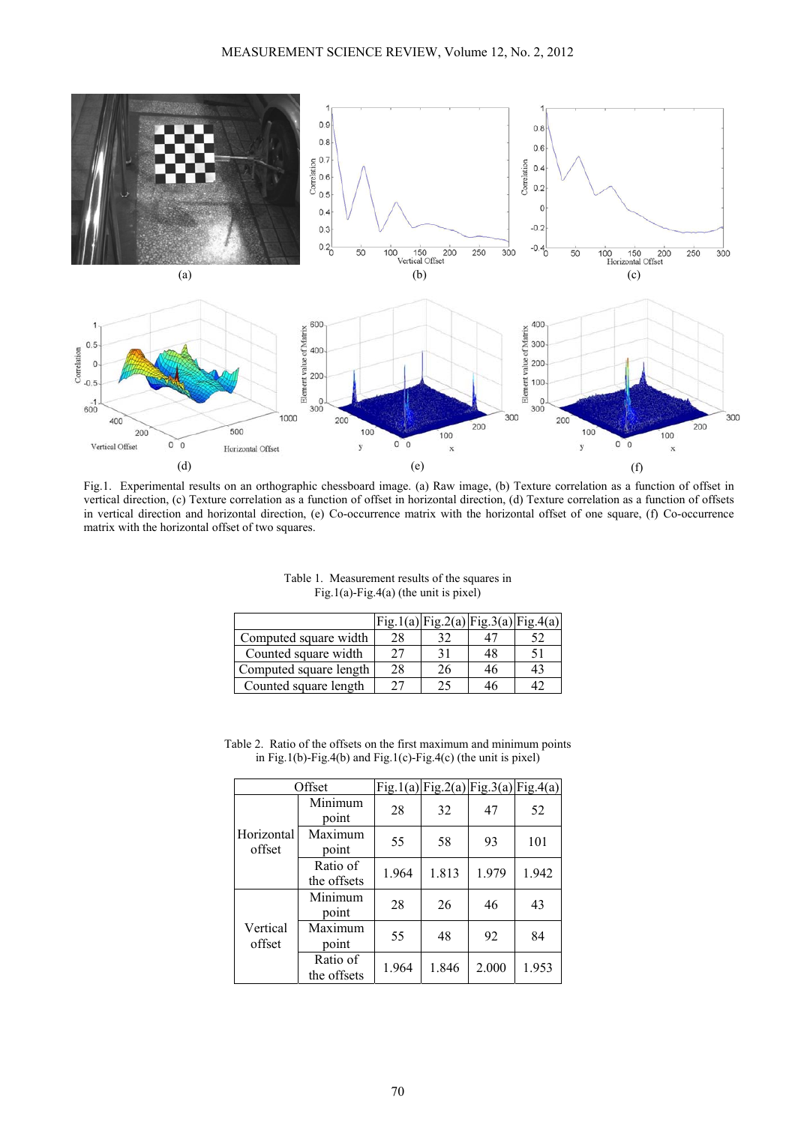

Fig.1. Experimental results on an orthographic chessboard image. (a) Raw image, (b) Texture correlation as a function of offset in vertical direction, (c) Texture correlation as a function of offset in horizontal direction, (d) Texture correlation as a function of offsets in vertical direction and horizontal direction, (e) Co-occurrence matrix with the horizontal offset of one square, (f) Co-occurrence matrix with the horizontal offset of two squares.

|                        |    |    |    | Fig.1(a) Fig.2(a) Fig.3(a) Fig.4(a) |
|------------------------|----|----|----|-------------------------------------|
| Computed square width  | 28 |    |    |                                     |
| Counted square width   |    |    | 48 |                                     |
| Computed square length | 28 | 26 | 46 | 43                                  |
| Counted square length  |    |    |    |                                     |

Table 1. Measurement results of the squares in Fig.1(a)-Fig.4(a) (the unit is pixel)

|  |  | Table 2. Ratio of the offsets on the first maximum and minimum points        |  |
|--|--|------------------------------------------------------------------------------|--|
|  |  | in Fig. $1(b)$ -Fig. $4(b)$ and Fig. $1(c)$ -Fig. $4(c)$ (the unit is pixel) |  |

| Offset               |                         |       |       |       | Fig.1(a) Fig.2(a) Fig.3(a) Fig.4(a) |
|----------------------|-------------------------|-------|-------|-------|-------------------------------------|
|                      | Minimum<br>point        | 28    | 32    | 47    | 52                                  |
| Horizontal<br>offset | Maximum<br>point        | 55    | 58    | 93    | 101                                 |
|                      | Ratio of<br>the offsets | 1.964 | 1.813 | 1.979 | 1.942                               |
| Vertical<br>offset   | Minimum<br>point        | 28    | 26    | 46    | 43                                  |
|                      | Maximum<br>point        | 55    | 48    | 92    | 84                                  |
|                      | Ratio of<br>the offsets | 1.964 | 1.846 | 2.000 | 1.953                               |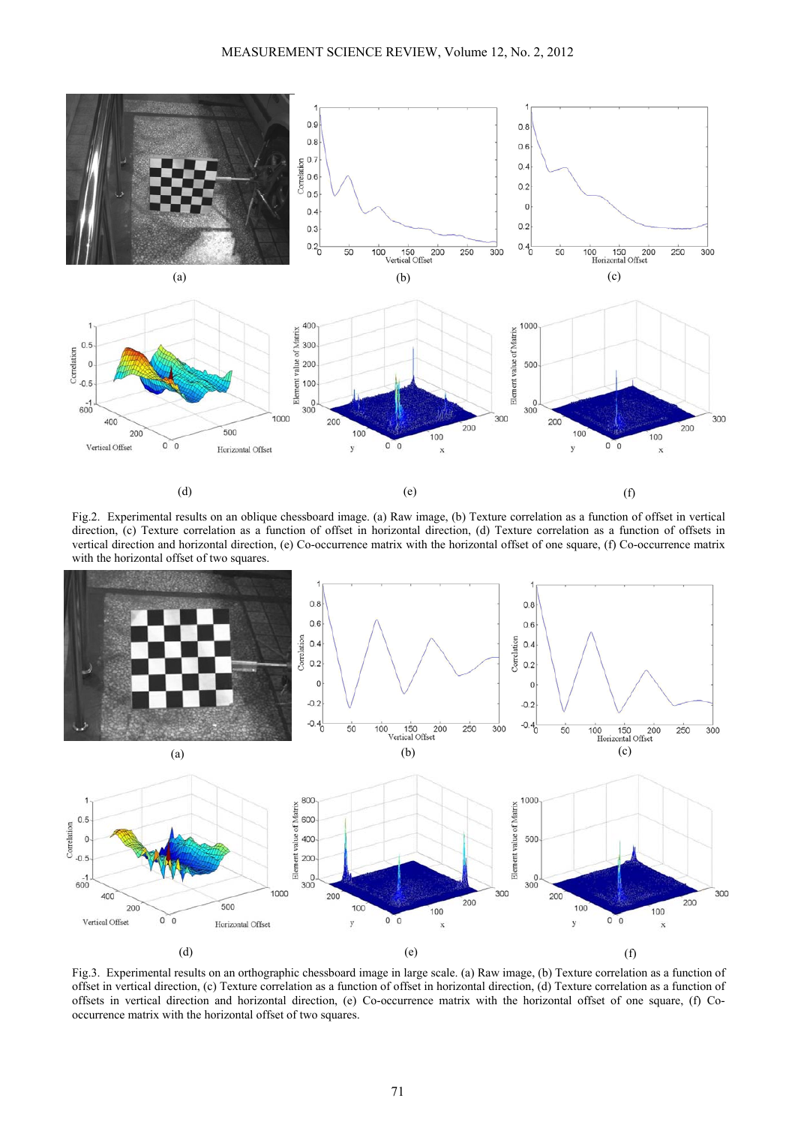

Fig.2. Experimental results on an oblique chessboard image. (a) Raw image, (b) Texture correlation as a function of offset in vertical direction, (c) Texture correlation as a function of offset in horizontal direction, (d) Texture correlation as a function of offsets in vertical direction and horizontal direction, (e) Co-occurrence matrix with the horizontal offset of one square, (f) Co-occurrence matrix with the horizontal offset of two squares.



Fig.3. Experimental results on an orthographic chessboard image in large scale. (a) Raw image, (b) Texture correlation as a function of offset in vertical direction, (c) Texture correlation as a function of offset in horizontal direction, (d) Texture correlation as a function of offsets in vertical direction and horizontal direction, (e) Co-occurrence matrix with the horizontal offset of one square, (f) Cooccurrence matrix with the horizontal offset of two squares.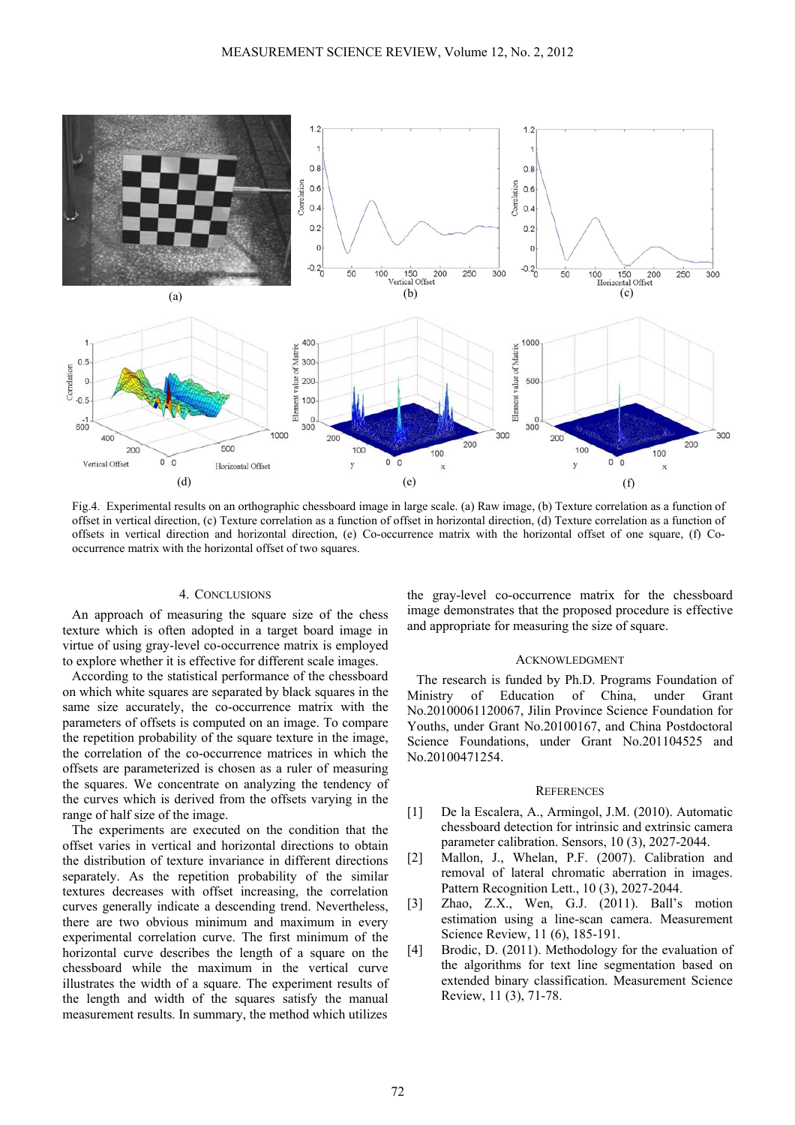

Fig.4. Experimental results on an orthographic chessboard image in large scale. (a) Raw image, (b) Texture correlation as a function of offset in vertical direction, (c) Texture correlation as a function of offset in horizontal direction, (d) Texture correlation as a function of offsets in vertical direction and horizontal direction, (e) Co-occurrence matrix with the horizontal offset of one square, (f) Cooccurrence matrix with the horizontal offset of two squares.

## 4. CONCLUSIONS

An approach of measuring the square size of the chess texture which is often adopted in a target board image in virtue of using gray-level co-occurrence matrix is employed to explore whether it is effective for different scale images.

According to the statistical performance of the chessboard on which white squares are separated by black squares in the same size accurately, the co-occurrence matrix with the parameters of offsets is computed on an image. To compare the repetition probability of the square texture in the image, the correlation of the co-occurrence matrices in which the offsets are parameterized is chosen as a ruler of measuring the squares. We concentrate on analyzing the tendency of the curves which is derived from the offsets varying in the range of half size of the image.

The experiments are executed on the condition that the offset varies in vertical and horizontal directions to obtain the distribution of texture invariance in different directions separately. As the repetition probability of the similar textures decreases with offset increasing, the correlation curves generally indicate a descending trend. Nevertheless, there are two obvious minimum and maximum in every experimental correlation curve. The first minimum of the horizontal curve describes the length of a square on the chessboard while the maximum in the vertical curve illustrates the width of a square. The experiment results of the length and width of the squares satisfy the manual measurement results. In summary, the method which utilizes

the gray-level co-occurrence matrix for the chessboard image demonstrates that the proposed procedure is effective and appropriate for measuring the size of square.

### ACKNOWLEDGMENT

The research is funded by Ph.D. Programs Foundation of Ministry of Education of China, under Grant No.20100061120067, Jilin Province Science Foundation for Youths, under Grant No.20100167, and China Postdoctoral Science Foundations, under Grant No.201104525 and No.20100471254.

#### **REFERENCES**

- [1] De la Escalera, A., Armingol, J.M. (2010). Automatic chessboard detection for intrinsic and extrinsic camera parameter calibration. Sensors, 10 (3), 2027-2044.
- [2] Mallon, J., Whelan, P.F. (2007). Calibration and removal of lateral chromatic aberration in images. Pattern Recognition Lett., 10 (3), 2027-2044.
- [3] Zhao, Z.X., Wen, G.J. (2011). Ball's motion estimation using a line-scan camera. Measurement Science Review, 11 (6), 185-191.
- [4] Brodic, D. (2011). Methodology for the evaluation of the algorithms for text line segmentation based on extended binary classification. Measurement Science Review, 11 (3), 71-78.